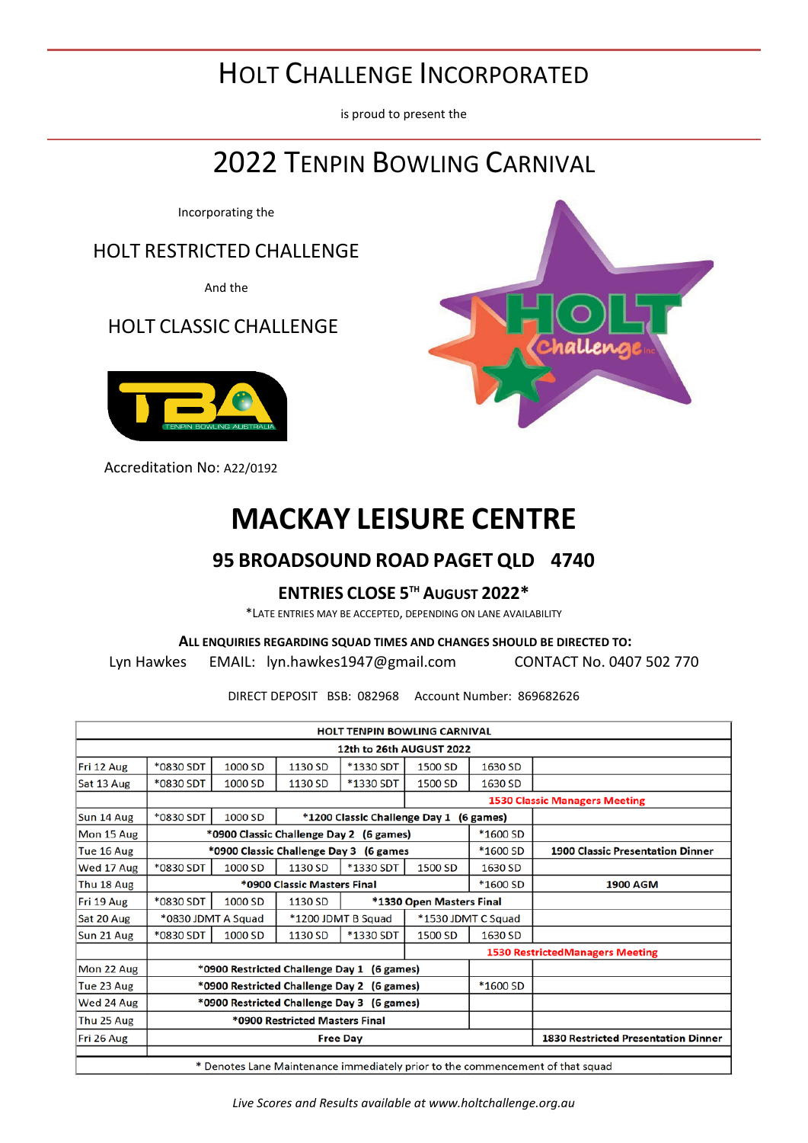# HOLT CHALLENGE INCORPORATED

is proud to present the

# 2022 TENPIN BOWLING CARNIVAL

Incorporating the

HOLT RESTRICTED CHALLENGE

And the

### HOLT CLASSIC CHALLENGE



Accreditation No: A22/0192

# **MACKAY LEISURE CENTRE**

### **95 BROADSOUND ROAD PAGET QLD 4740**

#### **ENTRIES CLOSE 5TH AUGUST 2022\***

\*LATE ENTRIES MAY BE ACCEPTED, DEPENDING ON LANE AVAILABILITY

### **ALL ENQUIRIES REGARDING SQUAD TIMES AND CHANGES SHOULD BE DIRECTED TO:**

Lyn Hawkes EMAIL: [lyn.hawkes1947@gmail.com](about:blank) CONTACT No. 0407 502 770

DIRECT DEPOSIT BSB: 082968 Account Number: 869682626

|                                                                                                   |           |                    |                                            | <b>HOLT TENPIN BOWLING CARNIVAL</b>        |                                         |                    |                                            |  |  |
|---------------------------------------------------------------------------------------------------|-----------|--------------------|--------------------------------------------|--------------------------------------------|-----------------------------------------|--------------------|--------------------------------------------|--|--|
|                                                                                                   |           |                    |                                            | 12th to 26th AUGUST 2022                   |                                         |                    |                                            |  |  |
| Fri 12 Aug                                                                                        | *0830 SDT | 1000 SD            | 1130 SD                                    | *1330 SDT                                  | 1500 SD                                 | 1630 SD            |                                            |  |  |
| Sat 13 Aug                                                                                        | *0830 SDT | 1000 SD            | 1130 SD                                    | *1330 SDT                                  | 1500 SD                                 | 1630 SD            |                                            |  |  |
|                                                                                                   |           |                    |                                            |                                            |                                         |                    | <b>1530 Classic Managers Meeting</b>       |  |  |
| Sun 14 Aug                                                                                        | *0830 SDT | 1000 SD            |                                            | *1200 Classic Challenge Day 1 (6 games)    |                                         |                    |                                            |  |  |
| Mon 15 Aug                                                                                        |           |                    |                                            | *0900 Classic Challenge Day 2 (6 games)    |                                         | *1600 SD           |                                            |  |  |
| Tue 16 Aug                                                                                        |           |                    | *0900 Classic Challenge Day 3 (6 games     | *1600 SD                                   | <b>1900 Classic Presentation Dinner</b> |                    |                                            |  |  |
| Wed 17 Aug                                                                                        | *0830 SDT | 1000 SD            | 1130 SD                                    | <b>*1330 SDT</b>                           | 1500 SD                                 | 1630 SD            |                                            |  |  |
| Thu 18 Aug                                                                                        |           |                    | *0900 Classic Masters Final                |                                            |                                         | *1600 SD           | <b>1900 AGM</b>                            |  |  |
| Fri 19 Aug                                                                                        | *0830 SDT | 1000 SD            | 1130 SD                                    |                                            | *1330 Open Masters Final                |                    |                                            |  |  |
| Sat 20 Aug                                                                                        |           | *0830 JDMT A Squad |                                            | *1200 JDMT B Squad                         |                                         | *1530 JDMT C Squad |                                            |  |  |
| Sun 21 Aug                                                                                        | *0830 SDT | 1000 SD            | 1130 SD                                    | *1330 SDT                                  | 1500 SD                                 | 1630 SD            |                                            |  |  |
|                                                                                                   |           |                    |                                            |                                            |                                         |                    | <b>1530 RestrictedManagers Meeting</b>     |  |  |
| Mon 22 Aug                                                                                        |           |                    |                                            | *0900 Restricted Challenge Day 1 (6 games) |                                         |                    |                                            |  |  |
| Tue 23 Aug                                                                                        |           |                    |                                            | *0900 Restricted Challenge Day 2 (6 games) |                                         | *1600 SD           |                                            |  |  |
| Wed 24 Aug                                                                                        |           |                    | *0900 Restricted Challenge Day 3 (6 games) |                                            |                                         |                    |                                            |  |  |
| Thu 25 Aug                                                                                        |           |                    |                                            |                                            |                                         |                    |                                            |  |  |
| Fri 26 Aug                                                                                        |           |                    |                                            |                                            |                                         |                    | <b>1830 Restricted Presentation Dinner</b> |  |  |
|                                                                                                   |           |                    |                                            |                                            |                                         |                    |                                            |  |  |
| <b>Free Day</b><br>* Denotes Lane Maintenance immediately prior to the commencement of that squad |           |                    |                                            |                                            |                                         |                    |                                            |  |  |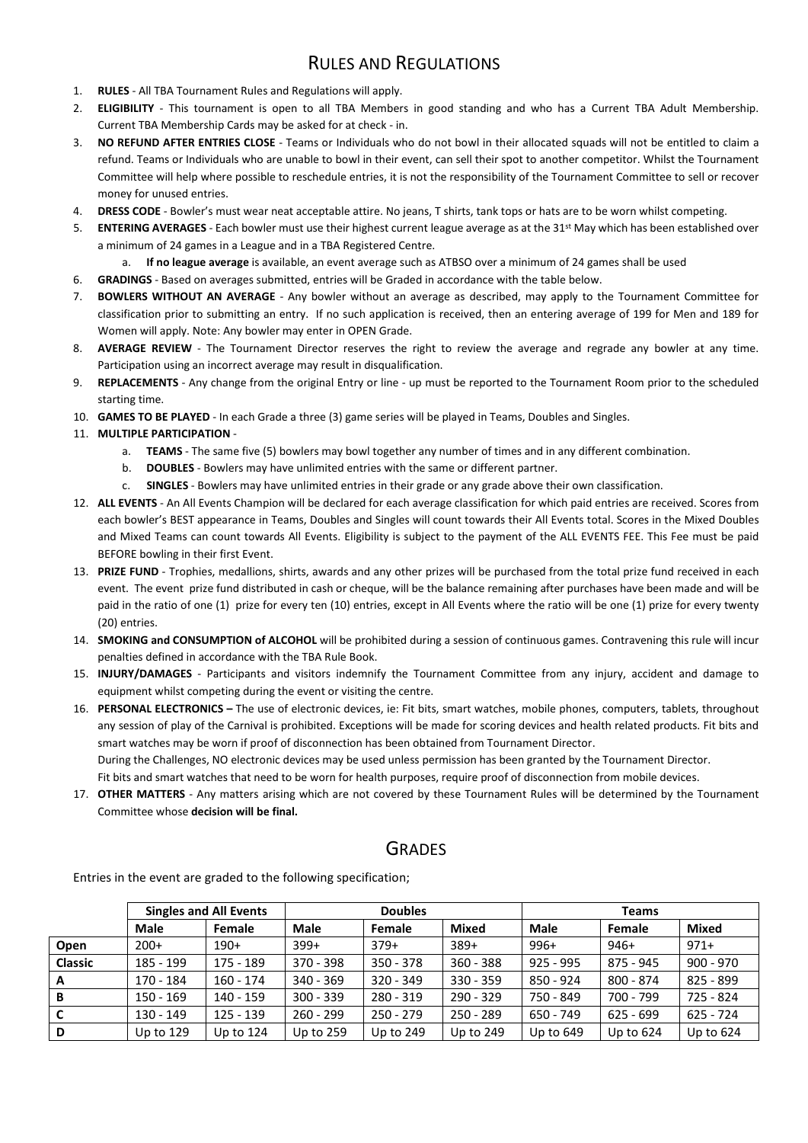#### RULES AND REGULATIONS

- 1. **RULES** All TBA Tournament Rules and Regulations will apply.
- 2. **ELIGIBILITY** This tournament is open to all TBA Members in good standing and who has a Current TBA Adult Membership. Current TBA Membership Cards may be asked for at check - in.
- 3. **NO REFUND AFTER ENTRIES CLOSE** Teams or Individuals who do not bowl in their allocated squads will not be entitled to claim a refund. Teams or Individuals who are unable to bowl in their event, can sell their spot to another competitor. Whilst the Tournament Committee will help where possible to reschedule entries, it is not the responsibility of the Tournament Committee to sell or recover money for unused entries.
- 4. **DRESS CODE** Bowler's must wear neat acceptable attire. No jeans, T shirts, tank tops or hats are to be worn whilst competing.
- 5. **ENTERING AVERAGES** Each bowler must use their highest current league average as at the 31st May which has been established over a minimum of 24 games in a League and in a TBA Registered Centre.
	- a. **If no league average** is available, an event average such as ATBSO over a minimum of 24 games shall be used
- 6. **GRADINGS** Based on averages submitted, entries will be Graded in accordance with the table below.
- 7. **BOWLERS WITHOUT AN AVERAGE** Any bowler without an average as described, may apply to the Tournament Committee for classification prior to submitting an entry. If no such application is received, then an entering average of 199 for Men and 189 for Women will apply. Note: Any bowler may enter in OPEN Grade.
- 8. **AVERAGE REVIEW** The Tournament Director reserves the right to review the average and regrade any bowler at any time. Participation using an incorrect average may result in disqualification.
- 9. **REPLACEMENTS** Any change from the original Entry or line up must be reported to the Tournament Room prior to the scheduled starting time.
- 10. **GAMES TO BE PLAYED** In each Grade a three (3) game series will be played in Teams, Doubles and Singles.
- 11. **MULTIPLE PARTICIPATION**
	- a. **TEAMS** The same five (5) bowlers may bowl together any number of times and in any different combination.
	- b. **DOUBLES** Bowlers may have unlimited entries with the same or different partner.
	- c. **SINGLES** Bowlers may have unlimited entries in their grade or any grade above their own classification.
- 12. **ALL EVENTS** An All Events Champion will be declared for each average classification for which paid entries are received. Scores from each bowler's BEST appearance in Teams, Doubles and Singles will count towards their All Events total. Scores in the Mixed Doubles and Mixed Teams can count towards All Events. Eligibility is subject to the payment of the ALL EVENTS FEE. This Fee must be paid BEFORE bowling in their first Event.
- 13. **PRIZE FUND** Trophies, medallions, shirts, awards and any other prizes will be purchased from the total prize fund received in each event. The event prize fund distributed in cash or cheque, will be the balance remaining after purchases have been made and will be paid in the ratio of one (1) prize for every ten (10) entries, except in All Events where the ratio will be one (1) prize for every twenty (20) entries.
- 14. **SMOKING and CONSUMPTION of ALCOHOL** will be prohibited during a session of continuous games. Contravening this rule will incur penalties defined in accordance with the TBA Rule Book.
- 15. **INJURY/DAMAGES** Participants and visitors indemnify the Tournament Committee from any injury, accident and damage to equipment whilst competing during the event or visiting the centre.
- 16. **PERSONAL ELECTRONICS –** The use of electronic devices, ie: Fit bits, smart watches, mobile phones, computers, tablets, throughout any session of play of the Carnival is prohibited. Exceptions will be made for scoring devices and health related products. Fit bits and smart watches may be worn if proof of disconnection has been obtained from Tournament Director. During the Challenges, NO electronic devices may be used unless permission has been granted by the Tournament Director. Fit bits and smart watches that need to be worn for health purposes, require proof of disconnection from mobile devices.
- 17. **OTHER MATTERS** Any matters arising which are not covered by these Tournament Rules will be determined by the Tournament Committee whose **decision will be final.**

#### **GRADES**

Entries in the event are graded to the following specification;

|                |             | <b>Singles and All Events</b> |             | <b>Doubles</b> |             | Teams       |             |             |  |  |
|----------------|-------------|-------------------------------|-------------|----------------|-------------|-------------|-------------|-------------|--|--|
|                | <b>Male</b> | Female                        | Male        | Female         | Mixed       | Male        | Female      | Mixed       |  |  |
| Open           | $200+$      | $190+$                        | $399+$      | $379+$         | $389+$      | $996+$      | $946+$      | $971+$      |  |  |
| <b>Classic</b> | 185 - 199   | 175 - 189                     | $370 - 398$ | $350 - 378$    | $360 - 388$ | $925 - 995$ | 875 - 945   | $900 - 970$ |  |  |
| A              | 170 - 184   | $160 - 174$                   | $340 - 369$ | $320 - 349$    | $330 - 359$ | 850 - 924   | 800 - 874   | 825 - 899   |  |  |
| B              | $150 - 169$ | 140 - 159                     | $300 - 339$ | $280 - 319$    | $290 - 329$ | 750 - 849   | 700 - 799   | 725 - 824   |  |  |
| <b>C</b>       | 130 - 149   | $125 - 139$                   | $260 - 299$ | $250 - 279$    | 250 - 289   | 650 - 749   | $625 - 699$ | $625 - 724$ |  |  |
| D              | Up to 129   | Up to $124$                   | Up to $259$ | Up to $249$    | Up to 249   | Up to $649$ | Up to $624$ | Up to $624$ |  |  |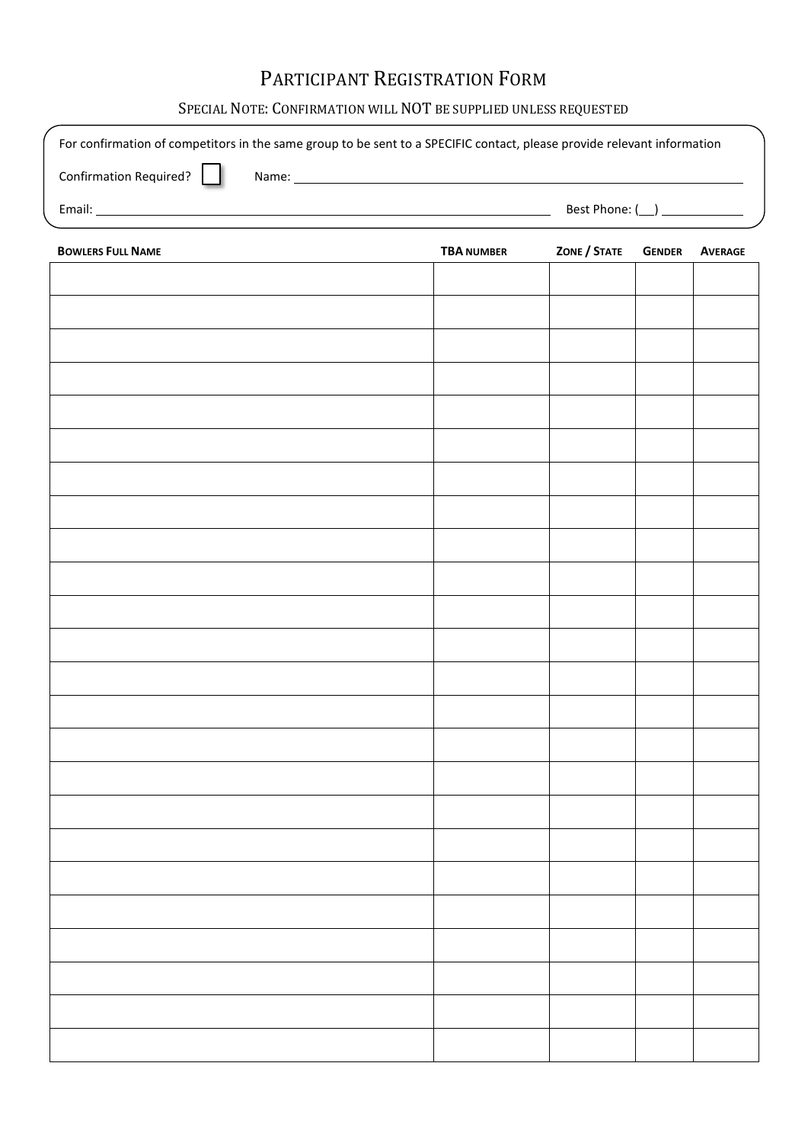## PARTICIPANT REGISTRATION FORM

#### SPECIAL NOTE: CONFIRMATION WILL NOT BE SUPPLIED UNLESS REQUESTED

| For confirmation of competitors in the same group to be sent to a SPECIFIC contact, please provide relevant information |                   |                    |               |                |
|-------------------------------------------------------------------------------------------------------------------------|-------------------|--------------------|---------------|----------------|
| Confirmation Required?                                                                                                  |                   |                    |               |                |
|                                                                                                                         |                   | Best Phone: $(\_)$ |               |                |
| <b>BOWLERS FULL NAME</b>                                                                                                | <b>TBA NUMBER</b> | ZONE / STATE       | <b>GENDER</b> | <b>AVERAGE</b> |
|                                                                                                                         |                   |                    |               |                |
|                                                                                                                         |                   |                    |               |                |
|                                                                                                                         |                   |                    |               |                |
|                                                                                                                         |                   |                    |               |                |
|                                                                                                                         |                   |                    |               |                |
|                                                                                                                         |                   |                    |               |                |
|                                                                                                                         |                   |                    |               |                |
|                                                                                                                         |                   |                    |               |                |
|                                                                                                                         |                   |                    |               |                |
|                                                                                                                         |                   |                    |               |                |
|                                                                                                                         |                   |                    |               |                |
|                                                                                                                         |                   |                    |               |                |
|                                                                                                                         |                   |                    |               |                |
|                                                                                                                         |                   |                    |               |                |
|                                                                                                                         |                   |                    |               |                |
|                                                                                                                         |                   |                    |               |                |
|                                                                                                                         |                   |                    |               |                |
|                                                                                                                         |                   |                    |               |                |
|                                                                                                                         |                   |                    |               |                |
|                                                                                                                         |                   |                    |               |                |
|                                                                                                                         |                   |                    |               |                |
|                                                                                                                         |                   |                    |               |                |
|                                                                                                                         |                   |                    |               |                |
|                                                                                                                         |                   |                    |               |                |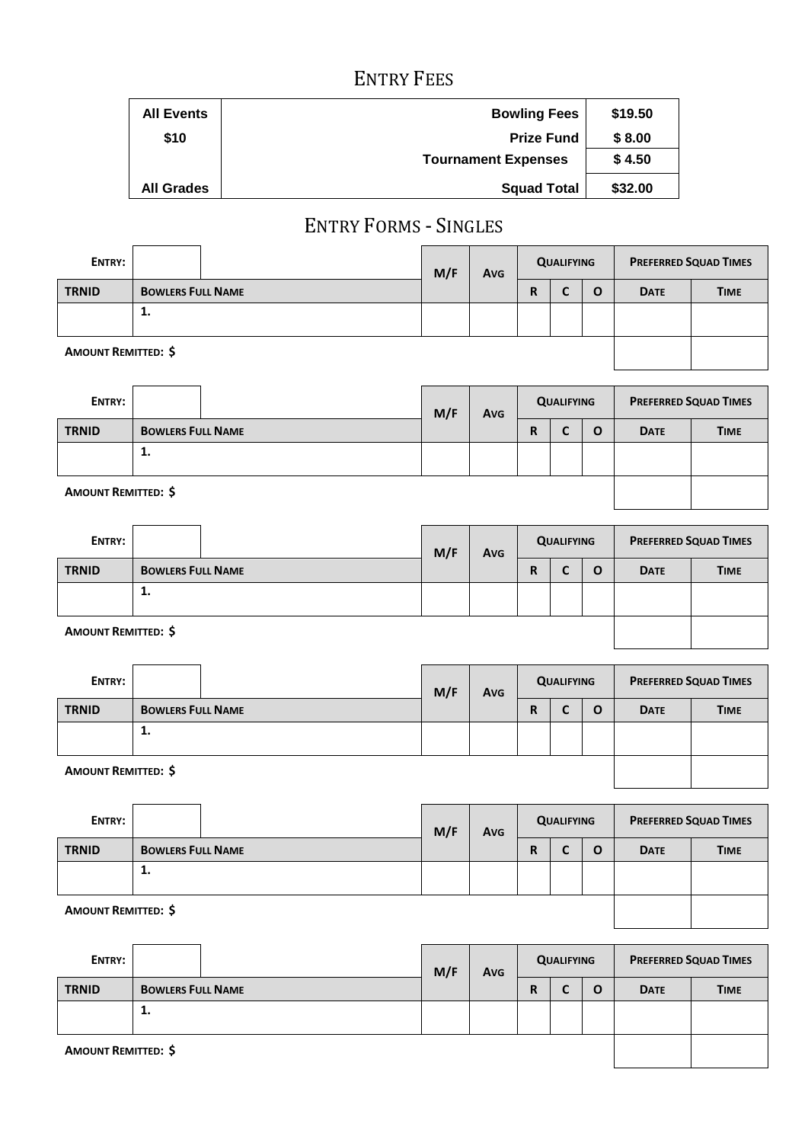## ENTRY FEES

| <b>All Events</b> | <b>Bowling Fees</b>        | \$19.50 |
|-------------------|----------------------------|---------|
| \$10              | <b>Prize Fund</b>          | \$8.00  |
|                   | <b>Tournament Expenses</b> | \$4.50  |
| <b>All Grades</b> | <b>Squad Total</b>         | \$32.00 |

## ENTRY FORMS - SINGLES

| ENTRY:                     |                          | M/F | <b>Avg</b> | <b>QUALIFYING</b> |  |          | <b>PREFERRED SQUAD TIMES</b> |             |
|----------------------------|--------------------------|-----|------------|-------------------|--|----------|------------------------------|-------------|
| <b>TRNID</b>               | <b>BOWLERS FULL NAME</b> |     |            | R                 |  | $\Omega$ | <b>DATE</b>                  | <b>TIME</b> |
|                            | 1.                       |     |            |                   |  |          |                              |             |
| <b>AMOUNT REMITTED: \$</b> |                          |     |            |                   |  |          |                              |             |

| ENTRY:                     |                          | M/F    | Avg | <b>QUALIFYING</b> |  |   | <b>PREFERRED SQUAD TIMES</b> |             |
|----------------------------|--------------------------|--------|-----|-------------------|--|---|------------------------------|-------------|
| <b>TRNID</b>               | <b>BOWLERS FULL NAME</b> | R<br>⊾ |     |                   |  | O | <b>DATE</b>                  | <b>TIME</b> |
|                            | 1.                       |        |     |                   |  |   |                              |             |
| <b>AMOUNT REMITTED: \$</b> |                          |        |     |                   |  |   |                              |             |

| ENTRY:                     |                          |  | M/F<br>Avg |   | <b>QUALIFYING</b> |          | <b>PREFERRED SQUAD TIMES</b> |             |
|----------------------------|--------------------------|--|------------|---|-------------------|----------|------------------------------|-------------|
| <b>TRNID</b>               | <b>BOWLERS FULL NAME</b> |  |            | R |                   | $\Omega$ | <b>DATE</b>                  | <b>TIME</b> |
|                            | 1.                       |  |            |   |                   |          |                              |             |
| <b>AMOUNT REMITTED: \$</b> |                          |  |            |   |                   |          |                              |             |

| ENTRY:       |                          | M/F | Avg | <b>QUALIFYING</b> |   |  | <b>PREFERRED SQUAD TIMES</b> |             |  |
|--------------|--------------------------|-----|-----|-------------------|---|--|------------------------------|-------------|--|
| <b>TRNID</b> | <b>BOWLERS FULL NAME</b> |     |     | R                 | ∼ |  | <b>DATE</b>                  | <b>TIME</b> |  |
|              | π.                       |     |     |                   |   |  |                              |             |  |

**AMOUNT REMITTED: \$**

| ENTRY:       |                          | M/F | <b>Avg</b> | <b>QUALIFYING</b> |   |  | <b>PREFERRED SQUAD TIMES</b> |             |
|--------------|--------------------------|-----|------------|-------------------|---|--|------------------------------|-------------|
| <b>TRNID</b> | <b>BOWLERS FULL NAME</b> |     |            | R                 | ∼ |  | <b>DATE</b>                  | <b>TIME</b> |
|              | . .                      |     |            |                   |   |  |                              |             |

#### **AMOUNT REMITTED: \$**

| ENTRY:                     |                          | M/F | Avg | <b>QUALIFYING</b> |  |   | <b>PREFERRED SQUAD TIMES</b> |             |
|----------------------------|--------------------------|-----|-----|-------------------|--|---|------------------------------|-------------|
| <b>TRNID</b>               | <b>BOWLERS FULL NAME</b> |     |     | R                 |  | O | <b>DATE</b>                  | <b>TIME</b> |
|                            | 1.                       |     |     |                   |  |   |                              |             |
| <b>AMOUNT REMITTED: \$</b> |                          |     |     |                   |  |   |                              |             |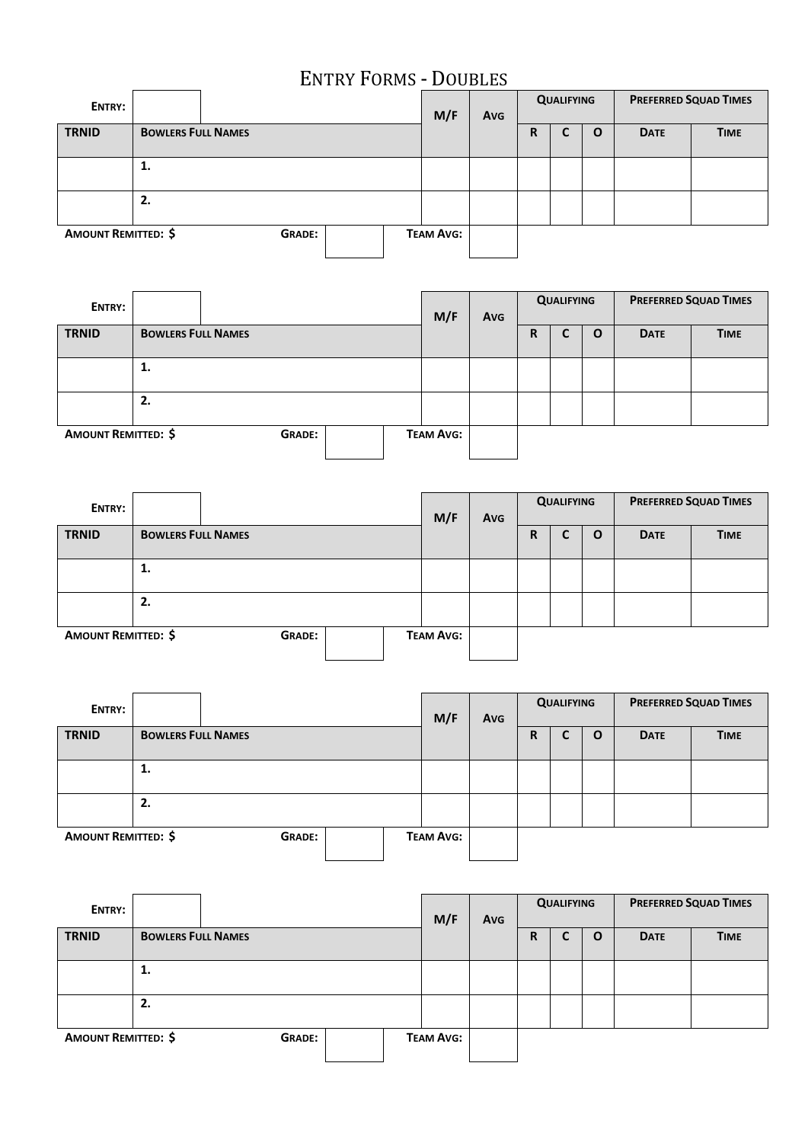## ENTRY FORMS - DOUBLES

| ENTRY:                                      |                           |  |                  | M/F | <b>QUALIFYING</b><br><b>Avg</b> |   |   |             |             | <b>PREFERRED SQUAD TIMES</b> |
|---------------------------------------------|---------------------------|--|------------------|-----|---------------------------------|---|---|-------------|-------------|------------------------------|
| <b>TRNID</b>                                | <b>BOWLERS FULL NAMES</b> |  |                  |     |                                 | R | L | $\mathbf 0$ | <b>DATE</b> | <b>TIME</b>                  |
|                                             | 1.                        |  |                  |     |                                 |   |   |             |             |                              |
|                                             | 2.                        |  |                  |     |                                 |   |   |             |             |                              |
| <b>AMOUNT REMITTED: \$</b><br><b>GRADE:</b> |                           |  | <b>TEAM AVG:</b> |     |                                 |   |   |             |             |                              |

| ENTRY:                     |                           |               |  | M/F              | <b>Avg</b> |   | <b>PREFERRED SQUAD TIMES</b><br><b>QUALIFYING</b> |              |             |             |  |
|----------------------------|---------------------------|---------------|--|------------------|------------|---|---------------------------------------------------|--------------|-------------|-------------|--|
| <b>TRNID</b>               | <b>BOWLERS FULL NAMES</b> |               |  |                  |            | R | C                                                 | $\mathbf{o}$ | <b>DATE</b> | <b>TIME</b> |  |
|                            | 1.                        |               |  |                  |            |   |                                                   |              |             |             |  |
|                            | 2.                        |               |  |                  |            |   |                                                   |              |             |             |  |
| <b>AMOUNT REMITTED: \$</b> |                           | <b>GRADE:</b> |  | <b>TEAM AVG:</b> |            |   |                                                   |              |             |             |  |

| ENTRY:                     |                           |  |               | M/F | Avg              | <b>QUALIFYING</b> |   |   | <b>PREFERRED SQUAD TIMES</b> |             |             |
|----------------------------|---------------------------|--|---------------|-----|------------------|-------------------|---|---|------------------------------|-------------|-------------|
| <b>TRNID</b>               | <b>BOWLERS FULL NAMES</b> |  |               |     |                  |                   | R | ◡ | $\mathbf{o}$                 | <b>DATE</b> | <b>TIME</b> |
|                            | 1.                        |  |               |     |                  |                   |   |   |                              |             |             |
|                            | 2.                        |  |               |     |                  |                   |   |   |                              |             |             |
| <b>AMOUNT REMITTED: \$</b> |                           |  | <b>GRADE:</b> |     | <b>TEAM AVG:</b> |                   |   |   |                              |             |             |

| ENTRY:                     |                           |  |               |  | M/F              | Avg |   | <b>QUALIFYING</b> |   | <b>PREFERRED SQUAD TIMES</b> |             |
|----------------------------|---------------------------|--|---------------|--|------------------|-----|---|-------------------|---|------------------------------|-------------|
| <b>TRNID</b>               | <b>BOWLERS FULL NAMES</b> |  |               |  |                  |     | R | J                 | O | <b>DATE</b>                  | <b>TIME</b> |
|                            | 1.                        |  |               |  |                  |     |   |                   |   |                              |             |
|                            | 2.                        |  |               |  |                  |     |   |                   |   |                              |             |
| <b>AMOUNT REMITTED: \$</b> |                           |  | <b>GRADE:</b> |  | <b>TEAM AVG:</b> |     |   |                   |   |                              |             |

| ENTRY:                     |                           |               |  | M/F | <b>Avg</b>       | <b>QUALIFYING</b> |   |   | <b>PREFERRED SQUAD TIMES</b> |             |             |
|----------------------------|---------------------------|---------------|--|-----|------------------|-------------------|---|---|------------------------------|-------------|-------------|
| <b>TRNID</b>               | <b>BOWLERS FULL NAMES</b> |               |  |     |                  |                   | R | С | O                            | <b>DATE</b> | <b>TIME</b> |
|                            | 1.                        |               |  |     |                  |                   |   |   |                              |             |             |
| 2.                         |                           |               |  |     |                  |                   |   |   |                              |             |             |
| <b>AMOUNT REMITTED: \$</b> |                           | <b>GRADE:</b> |  |     | <b>TEAM AVG:</b> |                   |   |   |                              |             |             |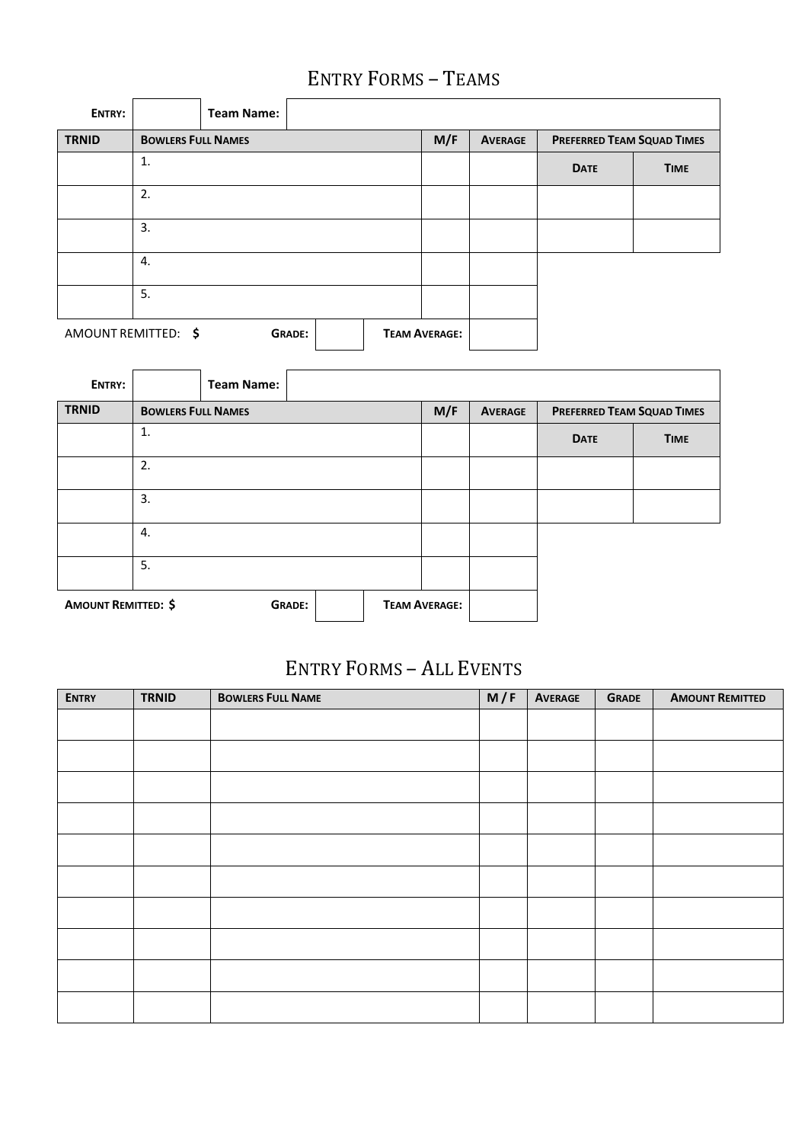## ENTRY FORMS – TEAMS

| ENTRY:       |                                                              | <b>Team Name:</b> |  |  |  |                |                                   |             |  |
|--------------|--------------------------------------------------------------|-------------------|--|--|--|----------------|-----------------------------------|-------------|--|
| <b>TRNID</b> | <b>BOWLERS FULL NAMES</b>                                    |                   |  |  |  | <b>AVERAGE</b> | <b>PREFERRED TEAM SQUAD TIMES</b> |             |  |
|              | 1.                                                           |                   |  |  |  |                | <b>DATE</b>                       | <b>TIME</b> |  |
|              | 2.                                                           |                   |  |  |  |                |                                   |             |  |
|              | 3.                                                           |                   |  |  |  |                |                                   |             |  |
|              | 4.                                                           |                   |  |  |  |                |                                   |             |  |
|              | 5.                                                           |                   |  |  |  |                |                                   |             |  |
|              | AMOUNT REMITTED: \$<br><b>TEAM AVERAGE:</b><br><b>GRADE:</b> |                   |  |  |  |                |                                   |             |  |

| ENTRY:                     |                           | <b>Team Name:</b> |               |     |                      |                                   |             |             |
|----------------------------|---------------------------|-------------------|---------------|-----|----------------------|-----------------------------------|-------------|-------------|
| <b>TRNID</b>               | <b>BOWLERS FULL NAMES</b> |                   |               | M/F | <b>AVERAGE</b>       | <b>PREFERRED TEAM SQUAD TIMES</b> |             |             |
|                            | 1.                        |                   |               |     |                      |                                   | <b>DATE</b> | <b>TIME</b> |
|                            | 2.                        |                   |               |     |                      |                                   |             |             |
|                            | 3.                        |                   |               |     |                      |                                   |             |             |
|                            | 4.                        |                   |               |     |                      |                                   |             |             |
|                            | 5.                        |                   |               |     |                      |                                   |             |             |
| <b>AMOUNT REMITTED: \$</b> |                           |                   | <b>GRADE:</b> |     | <b>TEAM AVERAGE:</b> |                                   |             |             |

## ENTRY FORMS – ALL EVENTS

| <b>ENTRY</b> | <b>TRNID</b> | <b>BOWLERS FULL NAME</b> | M/F | <b>AVERAGE</b> | <b>GRADE</b> | <b>AMOUNT REMITTED</b> |
|--------------|--------------|--------------------------|-----|----------------|--------------|------------------------|
|              |              |                          |     |                |              |                        |
|              |              |                          |     |                |              |                        |
|              |              |                          |     |                |              |                        |
|              |              |                          |     |                |              |                        |
|              |              |                          |     |                |              |                        |
|              |              |                          |     |                |              |                        |
|              |              |                          |     |                |              |                        |
|              |              |                          |     |                |              |                        |
|              |              |                          |     |                |              |                        |
|              |              |                          |     |                |              |                        |
|              |              |                          |     |                |              |                        |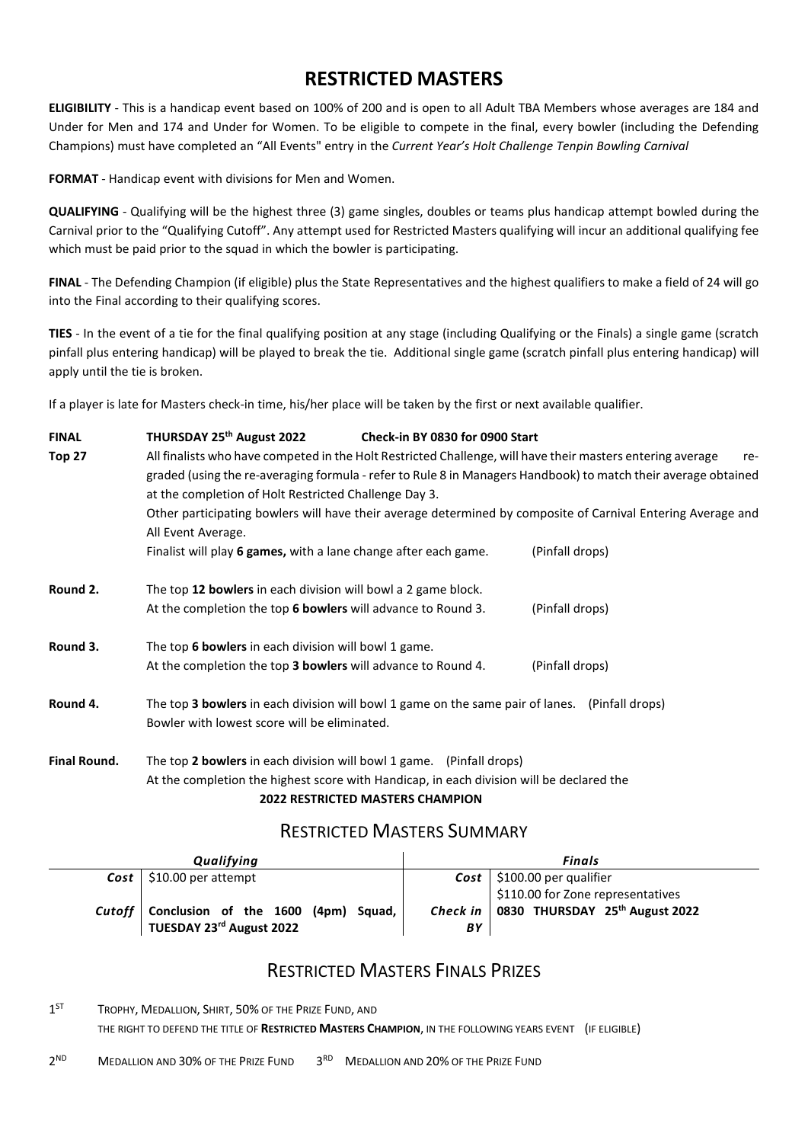### **RESTRICTED MASTERS**

**ELIGIBILITY** - This is a handicap event based on 100% of 200 and is open to all Adult TBA Members whose averages are 184 and Under for Men and 174 and Under for Women. To be eligible to compete in the final, every bowler (including the Defending Champions) must have completed an "All Events" entry in the *Current Year's Holt Challenge Tenpin Bowling Carnival*

**FORMAT** - Handicap event with divisions for Men and Women.

**QUALIFYING** - Qualifying will be the highest three (3) game singles, doubles or teams plus handicap attempt bowled during the Carnival prior to the "Qualifying Cutoff". Any attempt used for Restricted Masters qualifying will incur an additional qualifying fee which must be paid prior to the squad in which the bowler is participating.

**FINAL** - The Defending Champion (if eligible) plus the State Representatives and the highest qualifiers to make a field of 24 will go into the Final according to their qualifying scores.

**TIES** - In the event of a tie for the final qualifying position at any stage (including Qualifying or the Finals) a single game (scratch pinfall plus entering handicap) will be played to break the tie. Additional single game (scratch pinfall plus entering handicap) will apply until the tie is broken.

If a player is late for Masters check-in time, his/her place will be taken by the first or next available qualifier.

### **FINAL THURSDAY 25th August 2022 Check-in BY 0830 for 0900 Start Top 27** All finalists who have competed in the Holt Restricted Challenge, will have their masters entering average regraded (using the re-averaging formula - refer to Rule 8 in Managers Handbook) to match their average obtained at the completion of Holt Restricted Challenge Day 3. Other participating bowlers will have their average determined by composite of Carnival Entering Average and All Event Average. Finalist will play **6 games,** with a lane change after each game. (Pinfall drops) **Round 2.** The top **12 bowlers** in each division will bowl a 2 game block. At the completion the top **6 bowlers** will advance to Round 3. (Pinfall drops) **Round 3.** The top **6 bowlers** in each division will bowl 1 game. At the completion the top **3 bowlers** will advance to Round 4. (Pinfall drops) **Round 4.** The top **3 bowlers** in each division will bowl 1 game on the same pair of lanes. (Pinfall drops) Bowler with lowest score will be eliminated.

**Final Round.** The top **2 bowlers** in each division will bowl 1 game. (Pinfall drops) At the completion the highest score with Handicap, in each division will be declared the **2022 RESTRICTED MASTERS CHAMPION**

#### RESTRICTED MASTERS SUMMARY

| Qualifying                                                               | Finals |                                                                                            |  |  |
|--------------------------------------------------------------------------|--------|--------------------------------------------------------------------------------------------|--|--|
| $Cost$   \$10.00 per attempt                                             |        | $Cost$   \$100.00 per qualifier                                                            |  |  |
| Cutoff   Conclusion of the 1600 (4pm) Squad,<br>TUESDAY 23rd August 2022 | BY     | \$110.00 for Zone representatives<br>Check in   0830 THURSDAY 25 <sup>th</sup> August 2022 |  |  |

### RESTRICTED MASTERS FINALS PRIZES

1<sup>ST</sup> TROPHY, MEDALLION, SHIRT, 50% OF THE PRIZE FUND, AND THE RIGHT TO DEFEND THE TITLE OF **RESTRICTED MASTERS CHAMPION**, IN THE FOLLOWING YEARS EVENT (IF ELIGIBLE)

2ND MEDALLION AND 30% OF THE PRIZE FUND 3RD MEDALLION AND 20% OF THE PRIZE FUND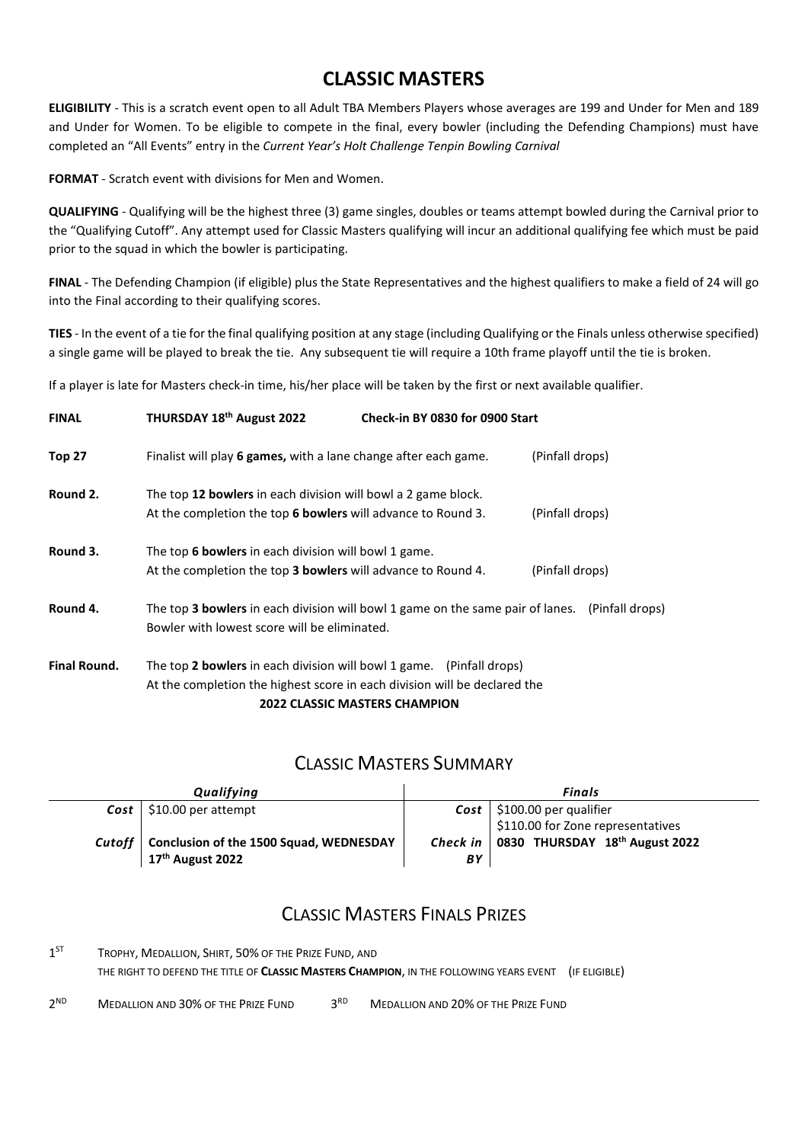### **CLASSIC MASTERS**

**ELIGIBILITY** - This is a scratch event open to all Adult TBA Members Players whose averages are 199 and Under for Men and 189 and Under for Women. To be eligible to compete in the final, every bowler (including the Defending Champions) must have completed an "All Events" entry in the *Current Year's Holt Challenge Tenpin Bowling Carnival*

**FORMAT** - Scratch event with divisions for Men and Women.

**QUALIFYING** - Qualifying will be the highest three (3) game singles, doubles or teams attempt bowled during the Carnival prior to the "Qualifying Cutoff". Any attempt used for Classic Masters qualifying will incur an additional qualifying fee which must be paid prior to the squad in which the bowler is participating.

**FINAL** - The Defending Champion (if eligible) plus the State Representatives and the highest qualifiers to make a field of 24 will go into the Final according to their qualifying scores.

**TIES** - In the event of a tie for the final qualifying position at any stage (including Qualifying or the Finals unless otherwise specified) a single game will be played to break the tie. Any subsequent tie will require a 10th frame playoff until the tie is broken.

If a player is late for Masters check-in time, his/her place will be taken by the first or next available qualifier.

| <b>FINAL</b>        | THURSDAY 18 <sup>th</sup> August 2022                                                          | Check-in BY 0830 for 0900 Start      |                 |
|---------------------|------------------------------------------------------------------------------------------------|--------------------------------------|-----------------|
| <b>Top 27</b>       | Finalist will play 6 games, with a lane change after each game.                                |                                      | (Pinfall drops) |
| Round 2.            | The top 12 bowlers in each division will bowl a 2 game block.                                  |                                      |                 |
|                     | At the completion the top 6 bowlers will advance to Round 3.                                   |                                      | (Pinfall drops) |
| Round 3.            | The top 6 bowlers in each division will bowl 1 game.                                           |                                      |                 |
|                     | At the completion the top 3 bowlers will advance to Round 4.                                   |                                      | (Pinfall drops) |
| Round 4.            | The top 3 bowlers in each division will bowl 1 game on the same pair of lanes. (Pinfall drops) |                                      |                 |
|                     | Bowler with lowest score will be eliminated.                                                   |                                      |                 |
| <b>Final Round.</b> | The top 2 bowlers in each division will bowl 1 game. (Pinfall drops)                           |                                      |                 |
|                     | At the completion the highest score in each division will be declared the                      |                                      |                 |
|                     |                                                                                                | <b>2022 CLASSIC MASTERS CHAMPION</b> |                 |

#### CLASSIC MASTERS SUMMARY

|        | Qualifying                                                              | Finals                      |                                   |  |  |  |
|--------|-------------------------------------------------------------------------|-----------------------------|-----------------------------------|--|--|--|
|        | $Cost$   \$10.00 per attempt                                            |                             | $Cost$   \$100.00 per qualifier   |  |  |  |
|        |                                                                         |                             | \$110.00 for Zone representatives |  |  |  |
| Cutoff | Conclusion of the 1500 Squad, WEDNESDAY<br>17 <sup>th</sup> August 2022 | Check in $\mathsf{I}$<br>BΥ | 0830 THURSDAY 18th August 2022    |  |  |  |

#### CLASSIC MASTERS FINALS PRIZES

1<sup>ST</sup> TROPHY, MEDALLION, SHIRT, 50% OF THE PRIZE FUND, AND THE RIGHT TO DEFEND THE TITLE OF **CLASSIC MASTERS CHAMPION**, IN THE FOLLOWING YEARS EVENT (IF ELIGIBLE)

 $2^{ND}$  MEDALLION AND 30% OF THE PRIZE FUND  $3^{RD}$  MEDALLION AND 20% OF THE PRIZE FUND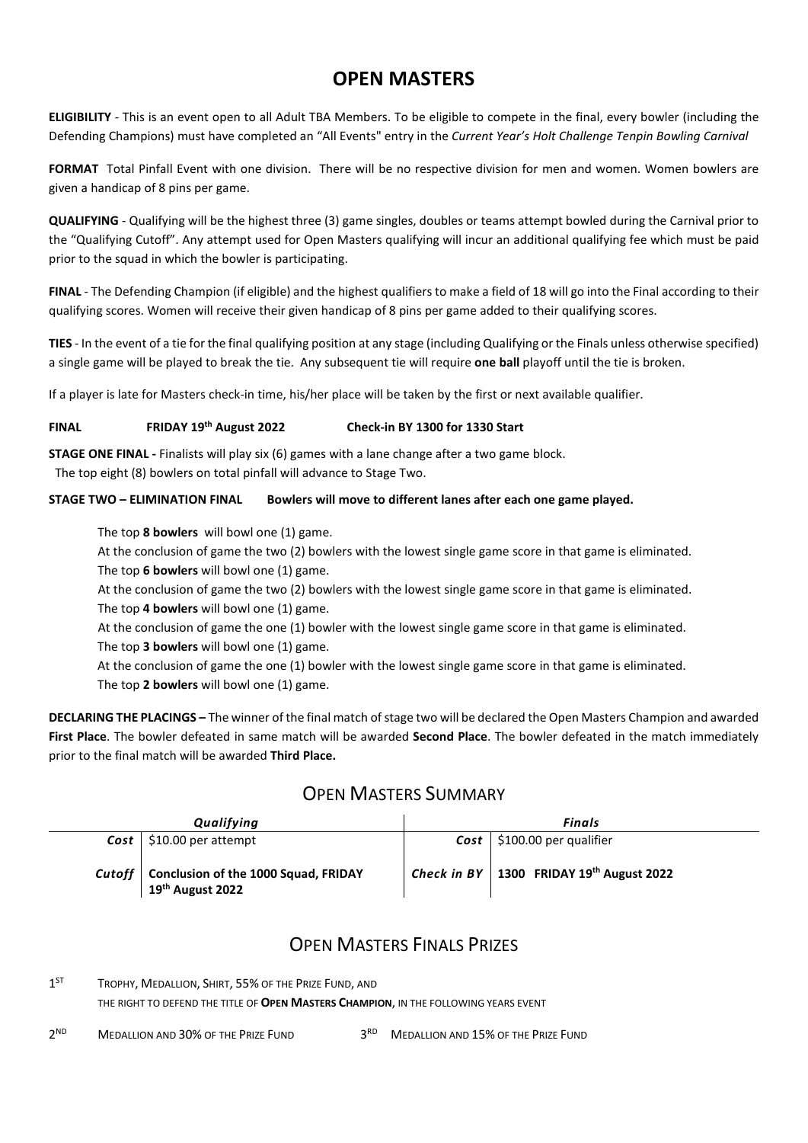### **OPEN MASTERS**

**ELIGIBILITY** - This is an event open to all Adult TBA Members. To be eligible to compete in the final, every bowler (including the Defending Champions) must have completed an "All Events" entry in the *Current Year's Holt Challenge Tenpin Bowling Carnival*

**FORMAT** Total Pinfall Event with one division. There will be no respective division for men and women. Women bowlers are given a handicap of 8 pins per game.

**QUALIFYING** - Qualifying will be the highest three (3) game singles, doubles or teams attempt bowled during the Carnival prior to the "Qualifying Cutoff". Any attempt used for Open Masters qualifying will incur an additional qualifying fee which must be paid prior to the squad in which the bowler is participating.

**FINAL** - The Defending Champion (if eligible) and the highest qualifiers to make a field of 18 will go into the Final according to their qualifying scores. Women will receive their given handicap of 8 pins per game added to their qualifying scores.

**TIES** - In the event of a tie for the final qualifying position at any stage (including Qualifying or the Finals unless otherwise specified) a single game will be played to break the tie. Any subsequent tie will require **one ball** playoff until the tie is broken.

If a player is late for Masters check-in time, his/her place will be taken by the first or next available qualifier.

#### **FINAL FRIDAY 19th August 2022 Check-in BY 1300 for 1330 Start**

**STAGE ONE FINAL -** Finalists will play six (6) games with a lane change after a two game block.

The top eight (8) bowlers on total pinfall will advance to Stage Two.

#### **STAGE TWO – ELIMINATION FINAL Bowlers will move to different lanes after each one game played.**

The top **8 bowlers** will bowl one (1) game.

At the conclusion of game the two (2) bowlers with the lowest single game score in that game is eliminated. The top **6 bowlers** will bowl one (1) game.

 At the conclusion of game the two (2) bowlers with the lowest single game score in that game is eliminated. The top **4 bowlers** will bowl one (1) game.

 At the conclusion of game the one (1) bowler with the lowest single game score in that game is eliminated. The top **3 bowlers** will bowl one (1) game.

At the conclusion of game the one (1) bowler with the lowest single game score in that game is eliminated. The top **2 bowlers** will bowl one (1) game.

**DECLARING THE PLACINGS –** The winner of the final match of stage two will be declared the Open Masters Champion and awarded **First Place**. The bowler defeated in same match will be awarded **Second Place**. The bowler defeated in the match immediately prior to the final match will be awarded **Third Place.**

#### OPEN MASTERS SUMMARY

| Qualifying                                                                    | Finals      |                                                  |  |  |
|-------------------------------------------------------------------------------|-------------|--------------------------------------------------|--|--|
| $Cost$   \$10.00 per attempt                                                  |             | $Cost$   \$100.00 per qualifier                  |  |  |
| Cutoff   Conclusion of the 1000 Squad, FRIDAY<br>19 <sup>th</sup> August 2022 | Check in BY | $\vert$ 1300 FRIDAY 19 <sup>th</sup> August 2022 |  |  |

### **OPEN MASTERS FINALS PRIZES**

1<sup>ST</sup> TROPHY, MEDALLION, SHIRT, 55% OF THE PRIZE FUND, AND

THE RIGHT TO DEFEND THE TITLE OF **OPEN MASTERS CHAMPION**, IN THE FOLLOWING YEARS EVENT

2<sup>ND</sup> MEDALLION AND 30% OF THE PRIZE FUND 3RD MEDALLION AND 15% OF THE PRIZE FUND